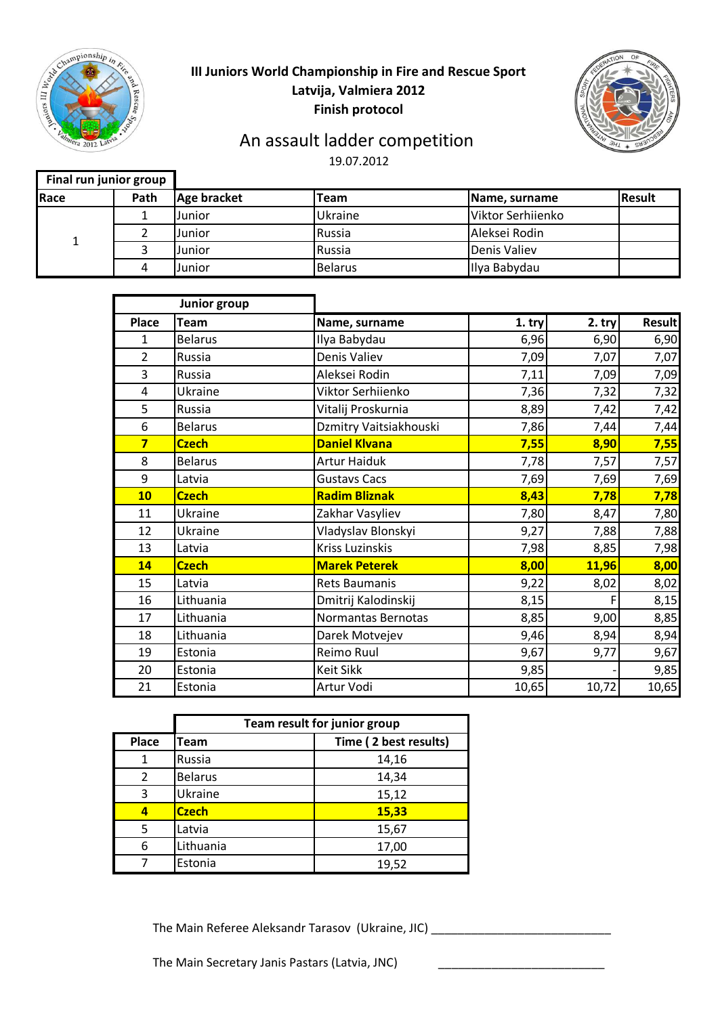

### **III Juniors World Championship in Fire and Rescue Sport Latvija, Valmiera 2012 Finish protocol**



### 19.07.2012 An assault ladder competition

| Final run junior group |      |             |                |                   |               |
|------------------------|------|-------------|----------------|-------------------|---------------|
| Race                   | Path | Age bracket | <b>Team</b>    | Name, surname     | <b>Result</b> |
|                        |      | Junior      | Ukraine        | Viktor Serhiienko |               |
|                        |      | Junior      | Russia         | Aleksei Rodin     |               |
|                        |      | Junior      | Russia         | Denis Valiev      |               |
|                        | 4    | Junior      | <b>Belarus</b> | Ilya Babydau      |               |

|                         | Junior group   |                        |        |          |               |
|-------------------------|----------------|------------------------|--------|----------|---------------|
| <b>Place</b>            | <b>Team</b>    | Name, surname          | 1. try | $2.$ try | <b>Result</b> |
| $\mathbf{1}$            | <b>Belarus</b> | Ilya Babydau           | 6,96   | 6,90     | 6,90          |
| $\overline{2}$          | Russia         | Denis Valiev           | 7,09   | 7,07     | 7,07          |
| 3                       | Russia         | Aleksei Rodin          | 7,11   | 7,09     | 7,09          |
| 4                       | Ukraine        | Viktor Serhiienko      | 7,36   | 7,32     | 7,32          |
| 5                       | Russia         | Vitalij Proskurnia     | 8,89   | 7,42     | 7,42          |
| 6                       | <b>Belarus</b> | Dzmitry Vaitsiakhouski | 7,86   | 7,44     | 7,44          |
| $\overline{\mathbf{z}}$ | <b>Czech</b>   | <b>Daniel Klvana</b>   | 7,55   | 8,90     | 7,55          |
| 8                       | <b>Belarus</b> | <b>Artur Haiduk</b>    | 7,78   | 7,57     | 7,57          |
| 9                       | Latvia         | <b>Gustavs Cacs</b>    | 7,69   | 7,69     | 7,69          |
| 10                      | <b>Czech</b>   | <b>Radim Bliznak</b>   | 8,43   | 7,78     | 7,78          |
| 11                      | Ukraine        | Zakhar Vasyliev        | 7,80   | 8,47     | 7,80          |
| 12                      | Ukraine        | Vladyslav Blonskyi     | 9,27   | 7,88     | 7,88          |
| 13                      | Latvia         | Kriss Luzinskis        | 7,98   | 8,85     | 7,98          |
| 14                      | <b>Czech</b>   | <b>Marek Peterek</b>   | 8,00   | 11,96    | 8,00          |
| 15                      | Latvia         | <b>Rets Baumanis</b>   | 9,22   | 8,02     | 8,02          |
| 16                      | Lithuania      | Dmitrij Kalodinskij    | 8,15   |          | 8,15          |
| 17                      | Lithuania      | Normantas Bernotas     | 8,85   | 9,00     | 8,85          |
| 18                      | Lithuania      | Darek Motvejev         | 9,46   | 8,94     | 8,94          |
| 19                      | Estonia        | Reimo Ruul             | 9,67   | 9,77     | 9,67          |
| 20                      | Estonia        | Keit Sikk              | 9,85   |          | 9,85          |
| 21                      | Estonia        | Artur Vodi             | 10,65  | 10,72    | 10,65         |

|                | Team result for junior group |                       |  |
|----------------|------------------------------|-----------------------|--|
| <b>Place</b>   | Team                         | Time (2 best results) |  |
|                | Russia                       | 14,16                 |  |
| $\overline{2}$ | <b>Belarus</b>               | 14,34                 |  |
| 3              | Ukraine                      | 15,12                 |  |
|                | <b>Czech</b>                 | 15,33                 |  |
| 5              | Latvia                       | 15,67                 |  |
| 6              | Lithuania                    | 17,00                 |  |
|                | Estonia                      | 19,52                 |  |

The Main Referee Aleksandr Tarasov (Ukraine, JIC) \_\_\_\_\_\_\_\_\_\_\_\_\_\_\_\_\_\_\_\_\_\_\_\_\_\_\_\_\_\_

The Main Secretary Janis Pastars (Latvia, JNC)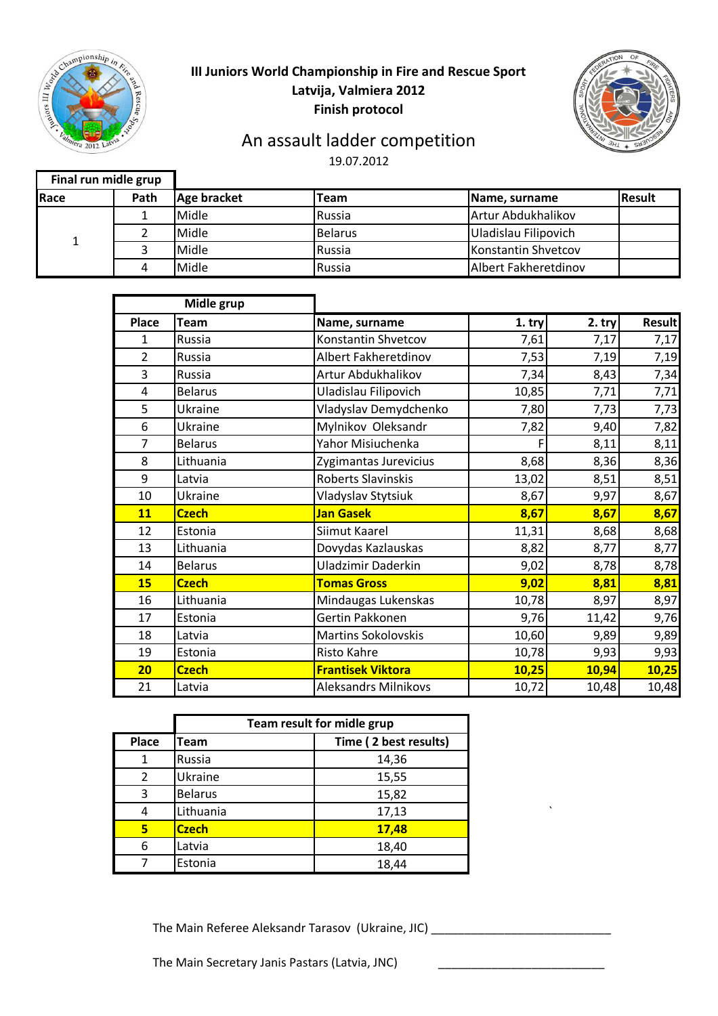

### **III Juniors World Championship in Fire and Rescue Sport Latvija, Valmiera 2012 Finish protocol**



# An assault ladder competition

19.07.2012

| Final run midle grup |      |             |                |                      |               |
|----------------------|------|-------------|----------------|----------------------|---------------|
| Race                 | Path | Age bracket | Team           | Name, surname        | <b>Result</b> |
|                      |      | Midle       | Russia         | Artur Abdukhalikov   |               |
|                      |      | Midle       | <b>Belarus</b> | Uladislau Filipovich |               |
|                      |      | Midle       | Russia         | Konstantin Shvetcov  |               |
|                      |      | Midle       | Russia         | Albert Fakheretdinov |               |

|                | Midle grup     |                             |        |          |               |
|----------------|----------------|-----------------------------|--------|----------|---------------|
| <b>Place</b>   | <b>Team</b>    | Name, surname               | 1. try | $2.$ try | <b>Result</b> |
| $\mathbf{1}$   | Russia         | Konstantin Shvetcov         | 7,61   | 7,17     | 7,17          |
| $\overline{2}$ | Russia         | Albert Fakheretdinov        | 7,53   | 7,19     | 7,19          |
| 3              | Russia         | Artur Abdukhalikov          | 7,34   | 8,43     | 7,34          |
| 4              | <b>Belarus</b> | Uladislau Filipovich        | 10,85  | 7,71     | 7,71          |
| 5              | Ukraine        | Vladyslav Demydchenko       | 7,80   | 7,73     | 7,73          |
| 6              | Ukraine        | Mylnikov Oleksandr          | 7,82   | 9,40     | 7,82          |
| $\overline{7}$ | <b>Belarus</b> | Yahor Misiuchenka           | F      | 8,11     | 8,11          |
| 8              | Lithuania      | Zygimantas Jurevicius       | 8,68   | 8,36     | 8,36          |
| 9              | Latvia         | <b>Roberts Slavinskis</b>   | 13,02  | 8,51     | 8,51          |
| 10             | Ukraine        | Vladyslav Stytsiuk          | 8,67   | 9,97     | 8,67          |
| 11             | <b>Czech</b>   | <b>Jan Gasek</b>            | 8,67   | 8,67     | 8,67          |
| 12             | Estonia        | Siimut Kaarel               | 11,31  | 8,68     | 8,68          |
| 13             | Lithuania      | Dovydas Kazlauskas          | 8,82   | 8,77     | 8,77          |
| 14             | <b>Belarus</b> | <b>Uladzimir Daderkin</b>   | 9,02   | 8,78     | 8,78          |
| 15             | <b>Czech</b>   | <b>Tomas Gross</b>          | 9,02   | 8,81     | 8,81          |
| 16             | Lithuania      | Mindaugas Lukenskas         | 10,78  | 8,97     | 8,97          |
| 17             | Estonia        | Gertin Pakkonen             | 9,76   | 11,42    | 9,76          |
| 18             | Latvia         | <b>Martins Sokolovskis</b>  | 10,60  | 9,89     | 9,89          |
| 19             | Estonia        | Risto Kahre                 | 10,78  | 9,93     | 9,93          |
| 20             | <b>Czech</b>   | <b>Frantisek Viktora</b>    | 10,25  | 10,94    | 10,25         |
| 21             | Latvia         | <b>Aleksandrs Milnikovs</b> | 10,72  | 10,48    | 10,48         |

|              | Team result for midle grup |                       |  |
|--------------|----------------------------|-----------------------|--|
| <b>Place</b> | Team                       | Time (2 best results) |  |
|              | Russia                     | 14,36                 |  |
|              | Ukraine                    | 15,55                 |  |
| 3            | <b>Belarus</b>             | 15,82                 |  |
| 4            | Lithuania                  | 17,13                 |  |
| 5            | <b>Czech</b>               | 17,48                 |  |
| 6            | Latvia                     | 18,40                 |  |
|              | Estonia                    | 18,44                 |  |

The Main Referee Aleksandr Tarasov (Ukraine, JIC) \_\_\_\_\_\_\_\_\_\_\_\_\_\_\_\_\_\_\_\_\_\_\_\_\_\_\_\_\_\_

The Main Secretary Janis Pastars (Latvia, JNC)